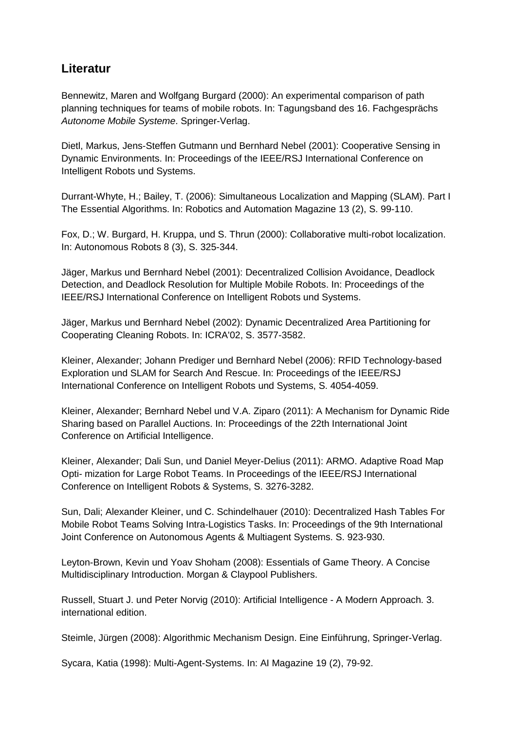## **Literatur**

Bennewitz, Maren and Wolfgang Burgard (2000): An experimental comparison of path planning techniques for teams of mobile robots. In: Tagungsband des 16. Fachgesprächs Autonome Mobile Systeme. Springer-Verlag.

Dietl, Markus, Jens-Steffen Gutmann und Bernhard Nebel (2001): Cooperative Sensing in Dynamic Environments. In: Proceedings of the IEEE/RSJ International Conference on Intelligent Robots und Systems.

Durrant-Whyte, H.; Bailey, T. (2006): Simultaneous Localization and Mapping (SLAM). Part I The Essential Algorithms. In: Robotics and Automation Magazine 13 (2), S. 99-110.

Fox, D.; W. Burgard, H. Kruppa, und S. Thrun (2000): Collaborative multi-robot localization. In: Autonomous Robots 8 (3), S. 325-344.

Jäger, Markus und Bernhard Nebel (2001): Decentralized Collision Avoidance, Deadlock Detection, and Deadlock Resolution for Multiple Mobile Robots. In: Proceedings of the IEEE/RSJ International Conference on Intelligent Robots und Systems.

Jäger, Markus und Bernhard Nebel (2002): Dynamic Decentralized Area Partitioning for Cooperating Cleaning Robots. In: ICRA'02, S. 3577-3582.

Kleiner, Alexander; Johann Prediger und Bernhard Nebel (2006): RFID Technology-based Exploration und SLAM for Search And Rescue. In: Proceedings of the IEEE/RSJ International Conference on Intelligent Robots und Systems, S. 4054-4059.

Kleiner, Alexander; Bernhard Nebel und V.A. Ziparo (2011): A Mechanism for Dynamic Ride Sharing based on Parallel Auctions. In: Proceedings of the 22th International Joint Conference on Artificial Intelligence.

Kleiner, Alexander; Dali Sun, und Daniel Meyer-Delius (2011): ARMO. Adaptive Road Map Opti- mization for Large Robot Teams. In Proceedings of the IEEE/RSJ International Conference on Intelligent Robots & Systems, S. 3276-3282.

Sun, Dali; Alexander Kleiner, und C. Schindelhauer (2010): Decentralized Hash Tables For Mobile Robot Teams Solving Intra-Logistics Tasks. In: Proceedings of the 9th International Joint Conference on Autonomous Agents & Multiagent Systems. S. 923-930.

Leyton-Brown, Kevin und Yoav Shoham (2008): Essentials of Game Theory. A Concise Multidisciplinary Introduction. Morgan & Claypool Publishers.

Russell, Stuart J. und Peter Norvig (2010): Artificial Intelligence - A Modern Approach. 3. international edition.

Steimle, Jürgen (2008): Algorithmic Mechanism Design. Eine Einführung, Springer-Verlag.

Sycara, Katia (1998): Multi-Agent-Systems. In: AI Magazine 19 (2), 79-92.